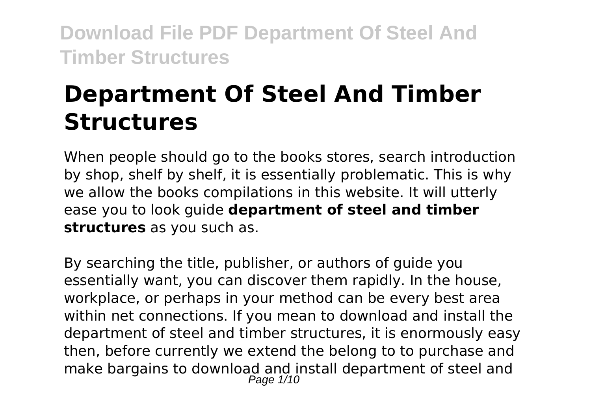# **Department Of Steel And Timber Structures**

When people should go to the books stores, search introduction by shop, shelf by shelf, it is essentially problematic. This is why we allow the books compilations in this website. It will utterly ease you to look guide **department of steel and timber structures** as you such as.

By searching the title, publisher, or authors of guide you essentially want, you can discover them rapidly. In the house, workplace, or perhaps in your method can be every best area within net connections. If you mean to download and install the department of steel and timber structures, it is enormously easy then, before currently we extend the belong to to purchase and make bargains to download and install department of steel and Page 1/10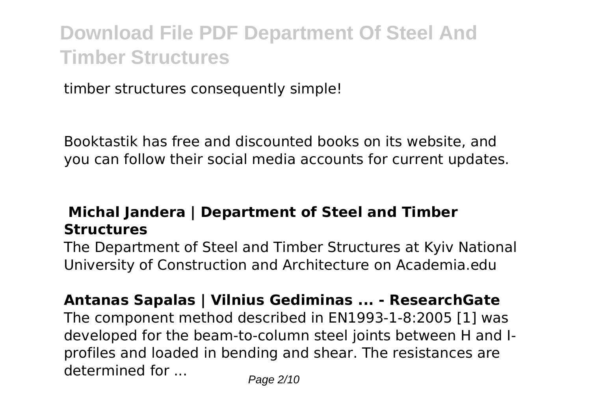timber structures consequently simple!

Booktastik has free and discounted books on its website, and you can follow their social media accounts for current updates.

## **Michal Jandera | Department of Steel and Timber Structures**

The Department of Steel and Timber Structures at Kyiv National University of Construction and Architecture on Academia.edu

**Antanas Sapalas | Vilnius Gediminas ... - ResearchGate**

The component method described in EN1993-1-8:2005 [1] was developed for the beam-to-column steel joints between H and Iprofiles and loaded in bending and shear. The resistances are determined for  $\ldots$  Page 2/10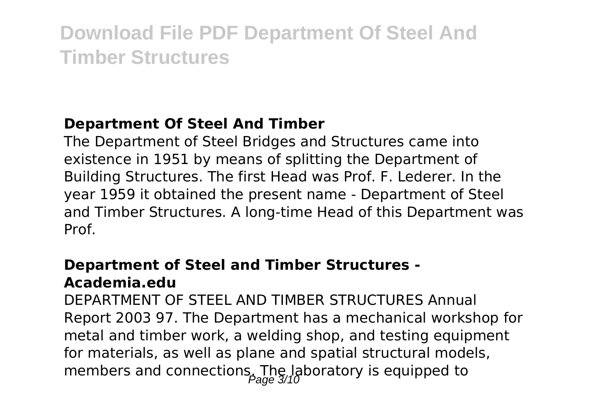## **Department Of Steel And Timber**

The Department of Steel Bridges and Structures came into existence in 1951 by means of splitting the Department of Building Structures. The first Head was Prof. F. Lederer. In the year 1959 it obtained the present name - Department of Steel and Timber Structures. A long-time Head of this Department was Prof.

## **Department of Steel and Timber Structures - Academia.edu**

DEPARTMENT OF STEEL AND TIMBER STRUCTURES Annual Report 2003 97. The Department has a mechanical workshop for metal and timber work, a welding shop, and testing equipment for materials, as well as plane and spatial structural models, members and connections. The laboratory is equipped to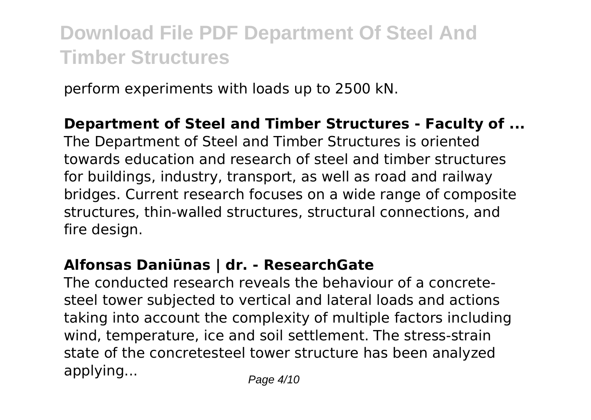perform experiments with loads up to 2500 kN.

### **Department of Steel and Timber Structures - Faculty of ...**

The Department of Steel and Timber Structures is oriented towards education and research of steel and timber structures for buildings, industry, transport, as well as road and railway bridges. Current research focuses on a wide range of composite structures, thin-walled structures, structural connections, and fire design.

## **Alfonsas Daniūnas | dr. - ResearchGate**

The conducted research reveals the behaviour of a concretesteel tower subjected to vertical and lateral loads and actions taking into account the complexity of multiple factors including wind, temperature, ice and soil settlement. The stress-strain state of the concretesteel tower structure has been analyzed applying...  $P_{\text{aq}} = 4/10$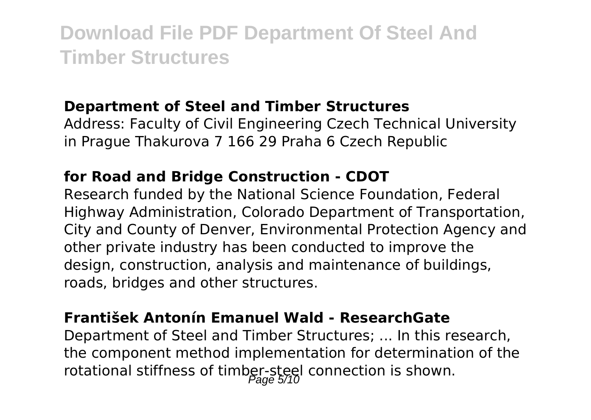### **Department of Steel and Timber Structures**

Address: Faculty of Civil Engineering Czech Technical University in Prague Thakurova 7 166 29 Praha 6 Czech Republic

## **for Road and Bridge Construction - CDOT**

Research funded by the National Science Foundation, Federal Highway Administration, Colorado Department of Transportation, City and County of Denver, Environmental Protection Agency and other private industry has been conducted to improve the design, construction, analysis and maintenance of buildings, roads, bridges and other structures.

### **František Antonín Emanuel Wald - ResearchGate**

Department of Steel and Timber Structures; ... In this research, the component method implementation for determination of the rotational stiffness of timber-steel connection is shown.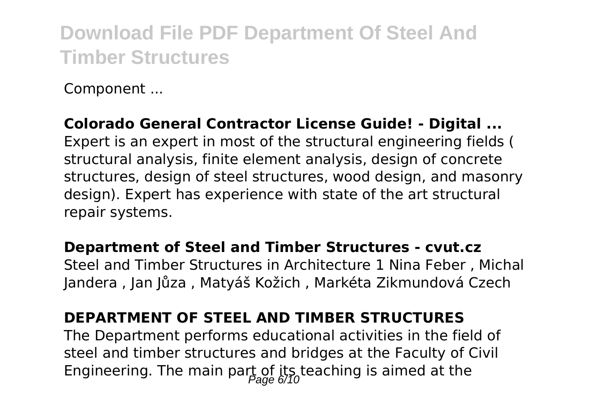Component ...

### **Colorado General Contractor License Guide! - Digital ...**

Expert is an expert in most of the structural engineering fields ( structural analysis, finite element analysis, design of concrete structures, design of steel structures, wood design, and masonry design). Expert has experience with state of the art structural repair systems.

#### **Department of Steel and Timber Structures - cvut.cz**

Steel and Timber Structures in Architecture 1 Nina Feber , Michal Jandera , Jan Jůza , Matyáš Kožich , Markéta Zikmundová Czech

## **DEPARTMENT OF STEEL AND TIMBER STRUCTURES**

The Department performs educational activities in the field of steel and timber structures and bridges at the Faculty of Civil Engineering. The main part of its teaching is aimed at the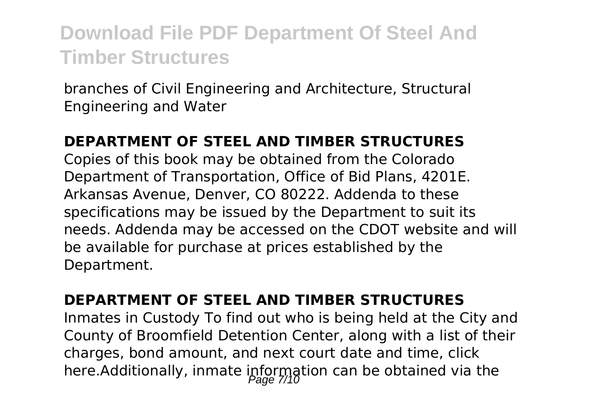branches of Civil Engineering and Architecture, Structural Engineering and Water

### **DEPARTMENT OF STEEL AND TIMBER STRUCTURES**

Copies of this book may be obtained from the Colorado Department of Transportation, Office of Bid Plans, 4201E. Arkansas Avenue, Denver, CO 80222. Addenda to these specifications may be issued by the Department to suit its needs. Addenda may be accessed on the CDOT website and will be available for purchase at prices established by the Department.

#### **DEPARTMENT OF STEEL AND TIMBER STRUCTURES**

Inmates in Custody To find out who is being held at the City and County of Broomfield Detention Center, along with a list of their charges, bond amount, and next court date and time, click here.Additionally, inmate information can be obtained via the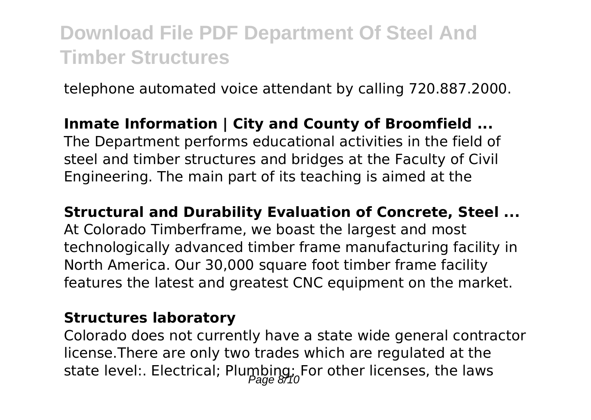telephone automated voice attendant by calling 720.887.2000.

## **Inmate Information | City and County of Broomfield ...** The Department performs educational activities in the field of steel and timber structures and bridges at the Faculty of Civil Engineering. The main part of its teaching is aimed at the

#### **Structural and Durability Evaluation of Concrete, Steel ...**

At Colorado Timberframe, we boast the largest and most technologically advanced timber frame manufacturing facility in North America. Our 30,000 square foot timber frame facility features the latest and greatest CNC equipment on the market.

### **Structures laboratory**

Colorado does not currently have a state wide general contractor license.There are only two trades which are regulated at the state level:. Electrical; Plumbing; For other licenses, the laws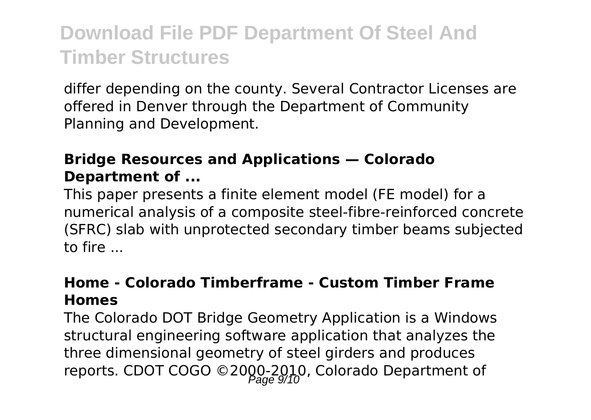differ depending on the county. Several Contractor Licenses are offered in Denver through the Department of Community Planning and Development.

## **Bridge Resources and Applications — Colorado Department of ...**

This paper presents a finite element model (FE model) for a numerical analysis of a composite steel-fibre-reinforced concrete (SFRC) slab with unprotected secondary timber beams subjected to fire ...

### **Home - Colorado Timberframe - Custom Timber Frame Homes**

The Colorado DOT Bridge Geometry Application is a Windows structural engineering software application that analyzes the three dimensional geometry of steel girders and produces reports. CDOT COGO ©2000-2010, Colorado Department of